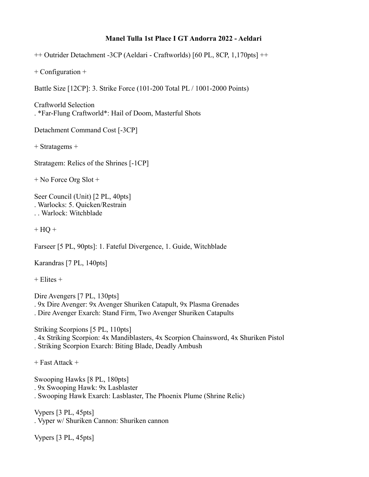## **Manel Tulla 1st Place I GT Andorra 2022 - Aeldari**

++ Outrider Detachment -3CP (Aeldari - Craftworlds) [60 PL, 8CP, 1,170pts] ++

+ Configuration +

Battle Size [12CP]: 3. Strike Force (101-200 Total PL / 1001-2000 Points)

Craftworld Selection . \*Far-Flung Craftworld\*: Hail of Doom, Masterful Shots

Detachment Command Cost [-3CP]

+ Stratagems +

Stratagem: Relics of the Shrines [-1CP]

+ No Force Org Slot +

Seer Council (Unit) [2 PL, 40pts] . Warlocks: 5. Quicken/Restrain . . Warlock: Witchblade

 $+$  HQ  $+$ 

Farseer [5 PL, 90pts]: 1. Fateful Divergence, 1. Guide, Witchblade

Karandras [7 PL, 140pts]

 $+$  Elites  $+$ 

Dire Avengers [7 PL, 130pts] . 9x Dire Avenger: 9x Avenger Shuriken Catapult, 9x Plasma Grenades . Dire Avenger Exarch: Stand Firm, Two Avenger Shuriken Catapults

Striking Scorpions [5 PL, 110pts] . 4x Striking Scorpion: 4x Mandiblasters, 4x Scorpion Chainsword, 4x Shuriken Pistol . Striking Scorpion Exarch: Biting Blade, Deadly Ambush

+ Fast Attack +

Swooping Hawks [8 PL, 180pts] . 9x Swooping Hawk: 9x Lasblaster . Swooping Hawk Exarch: Lasblaster, The Phoenix Plume (Shrine Relic)

Vypers [3 PL, 45pts] . Vyper w/ Shuriken Cannon: Shuriken cannon

Vypers [3 PL, 45pts]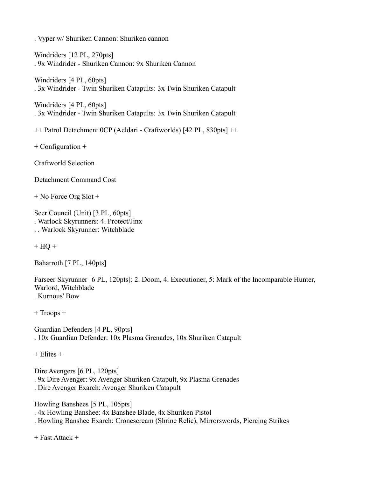. Vyper w/ Shuriken Cannon: Shuriken cannon

Windriders [12 PL, 270pts] . 9x Windrider - Shuriken Cannon: 9x Shuriken Cannon

Windriders [4 PL, 60pts] . 3x Windrider - Twin Shuriken Catapults: 3x Twin Shuriken Catapult

Windriders [4 PL, 60pts] . 3x Windrider - Twin Shuriken Catapults: 3x Twin Shuriken Catapult

++ Patrol Detachment 0CP (Aeldari - Craftworlds) [42 PL, 830pts] ++

+ Configuration +

Craftworld Selection

Detachment Command Cost

+ No Force Org Slot +

Seer Council (Unit) [3 PL, 60pts] . Warlock Skyrunners: 4. Protect/Jinx . . Warlock Skyrunner: Witchblade

 $+$  HQ  $+$ 

Baharroth [7 PL, 140pts]

Farseer Skyrunner [6 PL, 120pts]: 2. Doom, 4. Executioner, 5: Mark of the Incomparable Hunter, Warlord, Witchblade . Kurnous' Bow

+ Troops +

Guardian Defenders [4 PL, 90pts] . 10x Guardian Defender: 10x Plasma Grenades, 10x Shuriken Catapult

 $+$  Elites  $+$ 

Dire Avengers [6 PL, 120pts] . 9x Dire Avenger: 9x Avenger Shuriken Catapult, 9x Plasma Grenades . Dire Avenger Exarch: Avenger Shuriken Catapult

Howling Banshees [5 PL, 105pts] . 4x Howling Banshee: 4x Banshee Blade, 4x Shuriken Pistol . Howling Banshee Exarch: Cronescream (Shrine Relic), Mirrorswords, Piercing Strikes

+ Fast Attack +